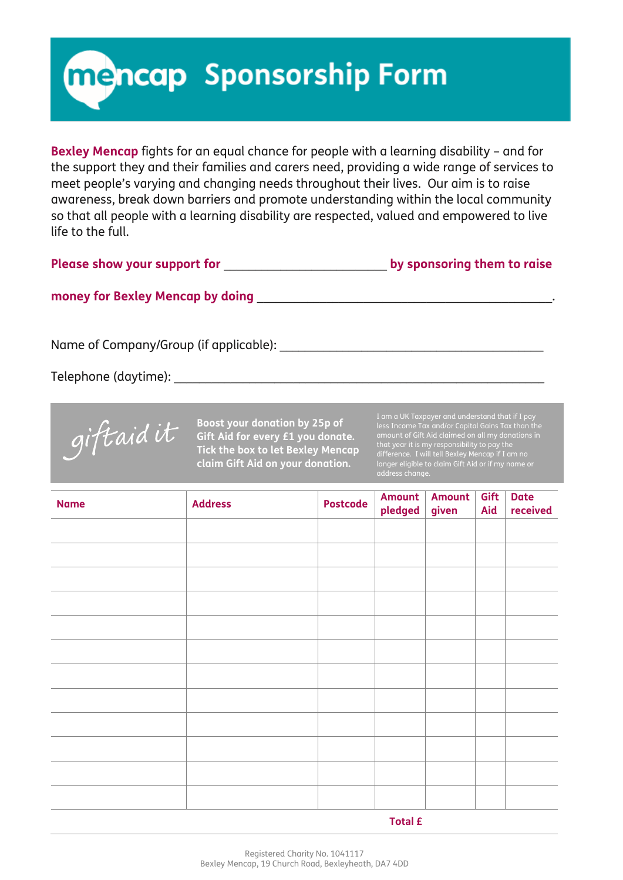**Mencap Sponsorship Form** 

**Bexley Mencap** fights for an equal chance for people with a learning disability – and for the support they and their families and carers need, providing a wide range of services to meet people's varying and changing needs throughout their lives. Our aim is to raise awareness, break down barriers and promote understanding within the local community so that all people with a learning disability are respected, valued and empowered to live life to the full.

## **money for Bexley Mencap by doing** \_\_\_\_\_\_\_\_\_\_\_\_\_\_\_\_\_\_\_\_\_\_\_\_\_\_\_\_\_\_\_\_\_\_\_\_\_\_\_\_\_\_\_\_\_\_\_.

Name of Company/Group (if applicable):

Telephone (daytime):  $\Box$ 



**Boost your donation by 25p of Gift Aid for every £1 you donate. Tick the box to let Bexley Mencap claim Gift Aid on your donation.**

I am a UK Taxpayer and understand that if I pay less Income Tax and/or Capital Gains Tax than the amount of Gift Aid claimed on all my donations in that year it is my responsibility to pay the difference. I will tell Bexley Mencap if I am no longer eligible to claim Gift Aid or if my name or address change.

| <b>Name</b> | <b>Address</b> | Postcode | Amount<br>pledged | <b>Amount</b><br>given | Gift<br>Aid | <b>Date</b><br>received |  |  |
|-------------|----------------|----------|-------------------|------------------------|-------------|-------------------------|--|--|
|             |                |          |                   |                        |             |                         |  |  |
|             |                |          |                   |                        |             |                         |  |  |
|             |                |          |                   |                        |             |                         |  |  |
|             |                |          |                   |                        |             |                         |  |  |
|             |                |          |                   |                        |             |                         |  |  |
|             |                |          |                   |                        |             |                         |  |  |
|             |                |          |                   |                        |             |                         |  |  |
|             |                |          |                   |                        |             |                         |  |  |
|             |                |          |                   |                        |             |                         |  |  |
|             |                |          |                   |                        |             |                         |  |  |
|             |                |          |                   |                        |             |                         |  |  |
|             |                |          |                   |                        |             |                         |  |  |
| .           |                |          |                   |                        |             |                         |  |  |

 **Total £**